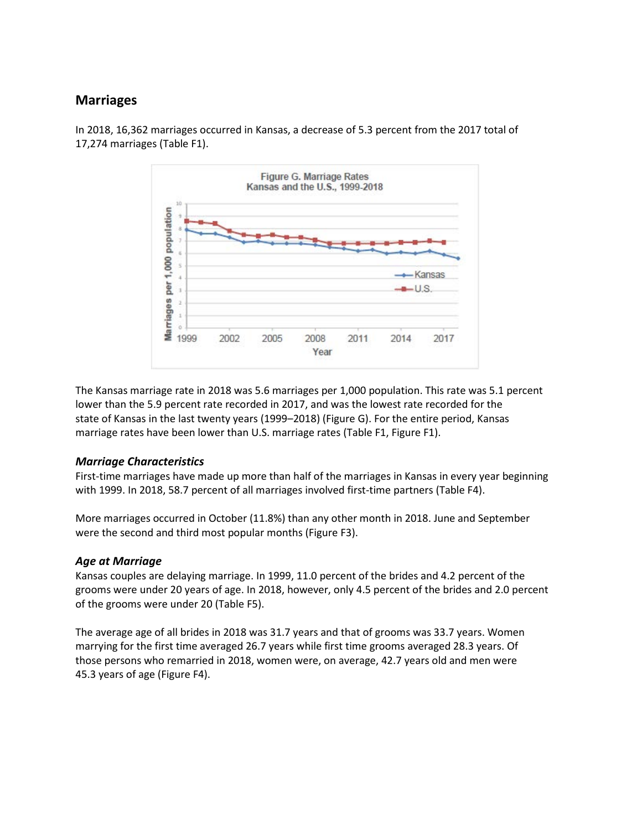## **Marriages**



In 2018, 16,362 marriages occurred in Kansas, a decrease of 5.3 percent from the 2017 total of 17,274 marriages (Table F1).

The Kansas marriage rate in 2018 was 5.6 marriages per 1,000 population. This rate was 5.1 percent lower than the 5.9 percent rate recorded in 2017, and was the lowest rate recorded for the state of Kansas in the last twenty years (1999–2018) (Figure G). For the entire period, Kansas marriage rates have been lower than U.S. marriage rates (Table F1, Figure F1).

## *Marriage Characteristics*

First-time marriages have made up more than half of the marriages in Kansas in every year beginning with 1999. In 2018, 58.7 percent of all marriages involved first-time partners (Table F4).

More marriages occurred in October (11.8%) than any other month in 2018. June and September were the second and third most popular months (Figure F3).

## *Age at Marriage*

Kansas couples are delaying marriage. In 1999, 11.0 percent of the brides and 4.2 percent of the grooms were under 20 years of age. In 2018, however, only 4.5 percent of the brides and 2.0 percent of the grooms were under 20 (Table F5).

The average age of all brides in 2018 was 31.7 years and that of grooms was 33.7 years. Women marrying for the first time averaged 26.7 years while first time grooms averaged 28.3 years. Of those persons who remarried in 2018, women were, on average, 42.7 years old and men were 45.3 years of age (Figure F4).